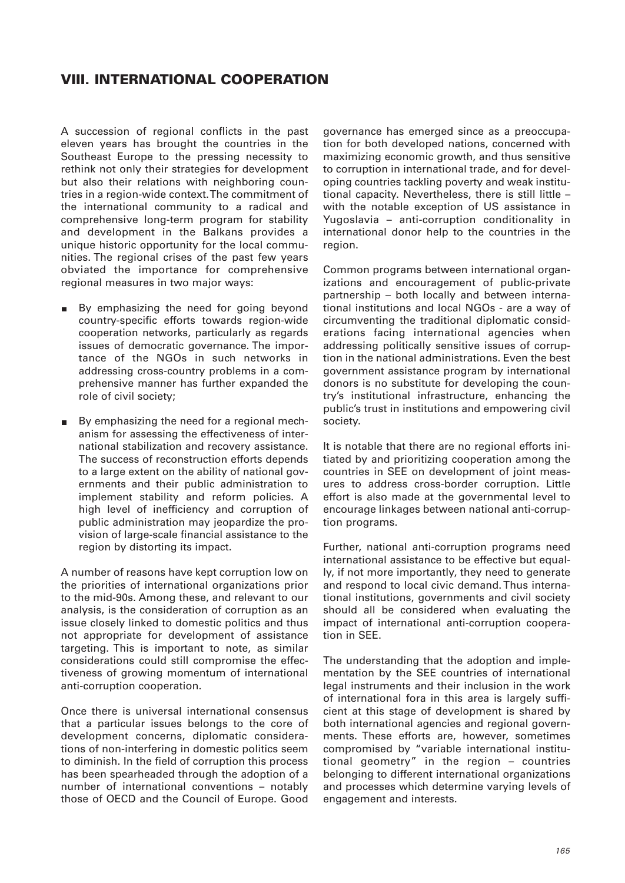## **VIII. INTERNATIONAL COOPERATION**

A succession of regional conflicts in the past eleven years has brought the countries in the Southeast Europe to the pressing necessity to rethink not only their strategies for development but also their relations with neighboring countries in a region-wide context. The commitment of the international community to a radical and comprehensive long-term program for stability and development in the Balkans provides a unique historic opportunity for the local communities. The regional crises of the past few years obviated the importance for comprehensive regional measures in two major ways:

- By emphasizing the need for going beyond country-specific efforts towards region-wide cooperation networks, particularly as regards issues of democratic governance. The importance of the NGOs in such networks in addressing cross-country problems in a comprehensive manner has further expanded the role of civil society;
- By emphasizing the need for a regional mechanism for assessing the effectiveness of international stabilization and recovery assistance. The success of reconstruction efforts depends to a large extent on the ability of national governments and their public administration to implement stability and reform policies. A high level of inefficiency and corruption of public administration may jeopardize the provision of large-scale financial assistance to the region by distorting its impact.

A number of reasons have kept corruption low on the priorities of international organizations prior to the mid-90s. Among these, and relevant to our analysis, is the consideration of corruption as an issue closely linked to domestic politics and thus not appropriate for development of assistance targeting. This is important to note, as similar considerations could still compromise the effectiveness of growing momentum of international anti-corruption cooperation.

Once there is universal international consensus that a particular issues belongs to the core of development concerns, diplomatic considerations of non-interfering in domestic politics seem to diminish. In the field of corruption this process has been spearheaded through the adoption of a number of international conventions – notably those of OECD and the Council of Europe. Good

governance has emerged since as a preoccupation for both developed nations, concerned with maximizing economic growth, and thus sensitive to corruption in international trade, and for developing countries tackling poverty and weak institutional capacity. Nevertheless, there is still little – with the notable exception of US assistance in Yugoslavia – anti-corruption conditionality in international donor help to the countries in the region.

Common programs between international organizations and encouragement of public-private partnership – both locally and between international institutions and local NGOs - are a way of circumventing the traditional diplomatic considerations facing international agencies when addressing politically sensitive issues of corruption in the national administrations. Even the best government assistance program by international donors is no substitute for developing the country's institutional infrastructure, enhancing the public's trust in institutions and empowering civil society.

It is notable that there are no regional efforts initiated by and prioritizing cooperation among the countries in SEE on development of joint measures to address cross-border corruption. Little effort is also made at the governmental level to encourage linkages between national anti-corruption programs.

Further, national anti-corruption programs need international assistance to be effective but equally, if not more importantly, they need to generate and respond to local civic demand. Thus international institutions, governments and civil society should all be considered when evaluating the impact of international anti-corruption cooperation in SEE.

The understanding that the adoption and implementation by the SEE countries of international legal instruments and their inclusion in the work of international fora in this area is largely sufficient at this stage of development is shared by both international agencies and regional governments. These efforts are, however, sometimes compromised by "variable international institutional geometry" in the region – countries belonging to different international organizations and processes which determine varying levels of engagement and interests.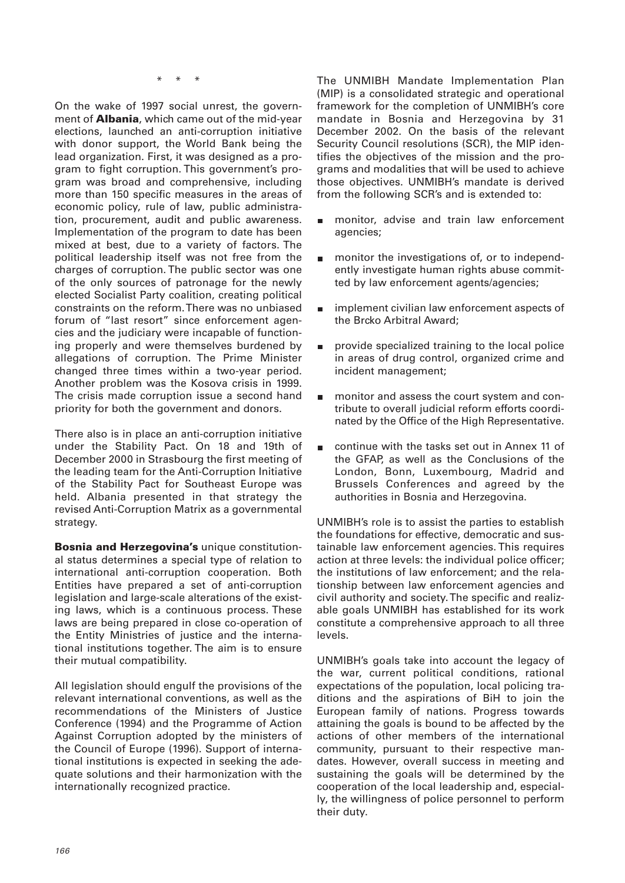\* \* \*

On the wake of 1997 social unrest, the government of **Albania**, which came out of the mid-year elections, launched an anti-corruption initiative with donor support, the World Bank being the lead organization. First, it was designed as a program to fight corruption. This government's program was broad and comprehensive, including more than 150 specific measures in the areas of economic policy, rule of law, public administration, procurement, audit and public awareness. Implementation of the program to date has been mixed at best, due to a variety of factors. The political leadership itself was not free from the charges of corruption. The public sector was one of the only sources of patronage for the newly elected Socialist Party coalition, creating political constraints on the reform. There was no unbiased forum of "last resort" since enforcement agencies and the judiciary were incapable of functioning properly and were themselves burdened by allegations of corruption. The Prime Minister changed three times within a two-year period. Another problem was the Kosova crisis in 1999. The crisis made corruption issue a second hand priority for both the government and donors.

There also is in place an anti-corruption initiative under the Stability Pact. On 18 and 19th of December 2000 in Strasbourg the first meeting of the leading team for the Anti-Corruption Initiative of the Stability Pact for Southeast Europe was held. Albania presented in that strategy the revised Anti-Corruption Matrix as a governmental strategy.

**Bosnia and Herzegovina's** unique constitutional status determines a special type of relation to international anti-corruption cooperation. Both Entities have prepared a set of anti-corruption legislation and large-scale alterations of the existing laws, which is a continuous process. These laws are being prepared in close co-operation of the Entity Ministries of justice and the international institutions together. The aim is to ensure their mutual compatibility.

All legislation should engulf the provisions of the relevant international conventions, as well as the recommendations of the Ministers of Justice Conference (1994) and the Programme of Action Against Corruption adopted by the ministers of the Council of Europe (1996). Support of international institutions is expected in seeking the adequate solutions and their harmonization with the internationally recognized practice.

The UNMIBH Mandate Implementation Plan (MIP) is a consolidated strategic and operational framework for the completion of UNMIBH's core mandate in Bosnia and Herzegovina by 31 December 2002. On the basis of the relevant Security Council resolutions (SCR), the MIP identifies the objectives of the mission and the programs and modalities that will be used to achieve those objectives. UNMIBH's mandate is derived from the following SCR's and is extended to:

- monitor, advise and train law enforcement  $\blacksquare$ agencies;
- monitor the investigations of, or to independently investigate human rights abuse committed by law enforcement agents/agencies;
- implement civilian law enforcement aspects of  $\blacksquare$ the Brcko Arbitral Award;
- provide specialized training to the local police  $\blacksquare$ in areas of drug control, organized crime and incident management;
- monitor and assess the court system and con- $\blacksquare$ tribute to overall judicial reform efforts coordinated by the Office of the High Representative.
- continue with the tasks set out in Annex 11 of Ė the GFAP, as well as the Conclusions of the London, Bonn, Luxembourg, Madrid and Brussels Conferences and agreed by the authorities in Bosnia and Herzegovina.

UNMIBH's role is to assist the parties to establish the foundations for effective, democratic and sustainable law enforcement agencies. This requires action at three levels: the individual police officer; the institutions of law enforcement; and the relationship between law enforcement agencies and civil authority and society. The specific and realizable goals UNMIBH has established for its work constitute a comprehensive approach to all three levels.

UNMIBH's goals take into account the legacy of the war, current political conditions, rational expectations of the population, local policing traditions and the aspirations of BiH to join the European family of nations. Progress towards attaining the goals is bound to be affected by the actions of other members of the international community, pursuant to their respective mandates. However, overall success in meeting and sustaining the goals will be determined by the cooperation of the local leadership and, especially, the willingness of police personnel to perform their duty.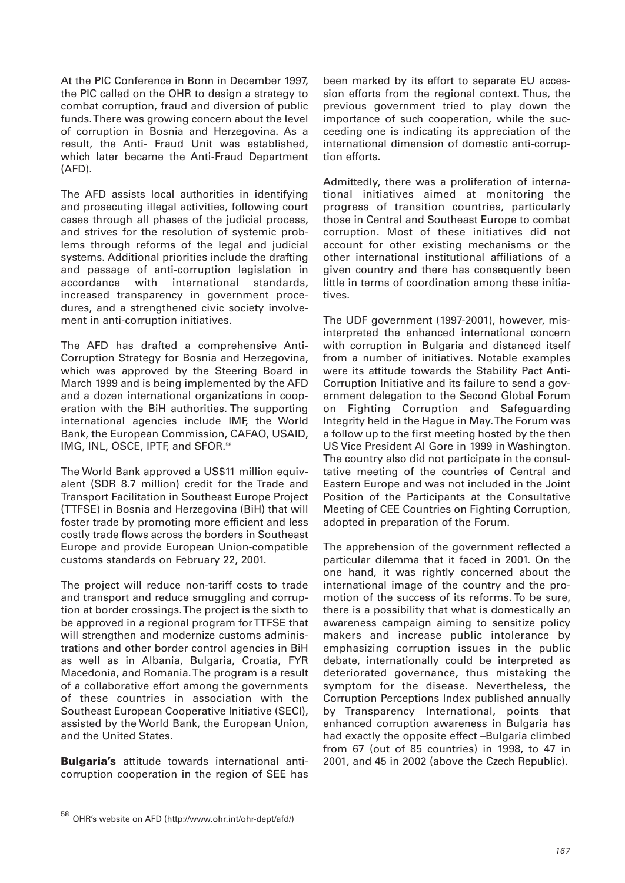At the PIC Conference in Bonn in December 1997, the PIC called on the OHR to design a strategy to combat corruption, fraud and diversion of public funds. There was growing concern about the level of corruption in Bosnia and Herzegovina. As a result, the Anti- Fraud Unit was established, which later became the Anti-Fraud Department (AFD).

The AFD assists local authorities in identifying and prosecuting illegal activities, following court cases through all phases of the judicial process, and strives for the resolution of systemic problems through reforms of the legal and judicial systems. Additional priorities include the drafting and passage of anti-corruption legislation in accordance with international standards, increased transparency in government procedures, and a strengthened civic society involvement in anti-corruption initiatives.

The AFD has drafted a comprehensive Anti-Corruption Strategy for Bosnia and Herzegovina, which was approved by the Steering Board in March 1999 and is being implemented by the AFD and a dozen international organizations in cooperation with the BiH authorities. The supporting international agencies include IMF, the World Bank, the European Commission, CAFAO, USAID, IMG, INL, OSCE, IPTF, and SFOR.<sup>58</sup>

The World Bank approved a US\$11 million equivalent (SDR 8.7 million) credit for the Trade and Transport Facilitation in Southeast Europe Project (TTFSE) in Bosnia and Herzegovina (BiH) that will foster trade by promoting more efficient and less costly trade flows across the borders in Southeast Europe and provide European Union-compatible customs standards on February 22, 2001.

The project will reduce non-tariff costs to trade and transport and reduce smuggling and corruption at border crossings. The project is the sixth to be approved in a regional program for TTFSE that will strengthen and modernize customs administrations and other border control agencies in BiH as well as in Albania, Bulgaria, Croatia, FYR Macedonia, and Romania. The program is a result of a collaborative effort among the governments of these countries in association with the Southeast European Cooperative Initiative (SECI), assisted by the World Bank, the European Union, and the United States.

**Bulgaria's** attitude towards international anticorruption cooperation in the region of SEE has been marked by its effort to separate EU accession efforts from the regional context. Thus, the previous government tried to play down the importance of such cooperation, while the succeeding one is indicating its appreciation of the international dimension of domestic anti-corruption efforts.

Admittedly, there was a proliferation of international initiatives aimed at monitoring the progress of transition countries, particularly those in Central and Southeast Europe to combat corruption. Most of these initiatives did not account for other existing mechanisms or the other international institutional affiliations of a given country and there has consequently been little in terms of coordination among these initiatives.

The UDF government (1997-2001), however, misinterpreted the enhanced international concern with corruption in Bulgaria and distanced itself from a number of initiatives. Notable examples were its attitude towards the Stability Pact Anti-Corruption Initiative and its failure to send a government delegation to the Second Global Forum on Fighting Corruption and Safeguarding Integrity held in the Hague in May. The Forum was a follow up to the first meeting hosted by the then US Vice President Al Gore in 1999 in Washington. The country also did not participate in the consultative meeting of the countries of Central and Eastern Europe and was not included in the Joint Position of the Participants at the Consultative Meeting of CEE Countries on Fighting Corruption, adopted in preparation of the Forum.

The apprehension of the government reflected a particular dilemma that it faced in 2001. On the one hand, it was rightly concerned about the international image of the country and the promotion of the success of its reforms. To be sure, there is a possibility that what is domestically an awareness campaign aiming to sensitize policy makers and increase public intolerance by emphasizing corruption issues in the public debate, internationally could be interpreted as deteriorated governance, thus mistaking the symptom for the disease. Nevertheless, the Corruption Perceptions Index published annually by Transparency International, points that enhanced corruption awareness in Bulgaria has had exactly the opposite effect –Bulgaria climbed from 67 (out of 85 countries) in 1998, to 47 in 2001, and 45 in 2002 (above the Czech Republic).

<sup>58</sup> OHR's website on AFD (http://www.ohr.int/ohr-dept/afd/)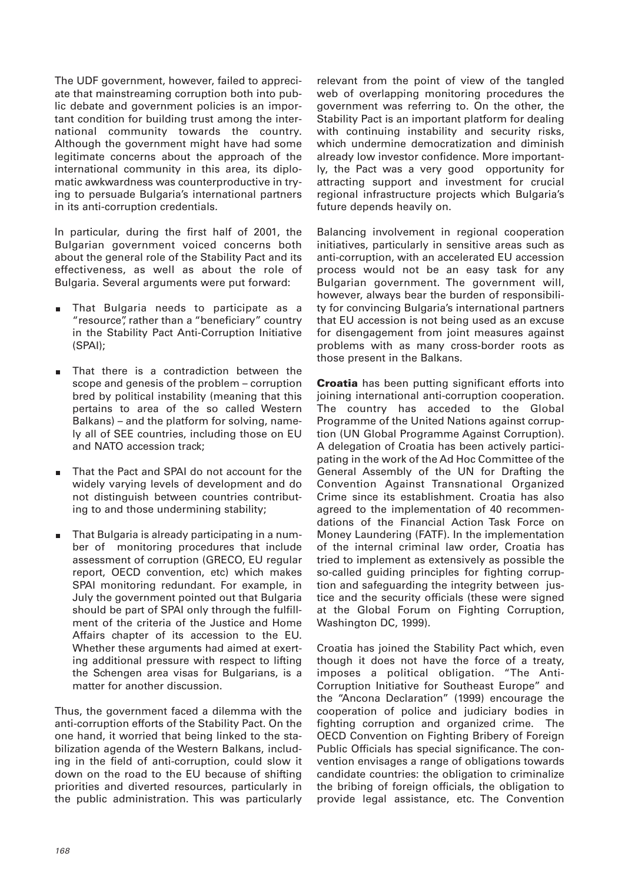The UDF government, however, failed to appreciate that mainstreaming corruption both into public debate and government policies is an important condition for building trust among the international community towards the country. Although the government might have had some legitimate concerns about the approach of the international community in this area, its diplomatic awkwardness was counterproductive in trying to persuade Bulgaria's international partners in its anti-corruption credentials.

In particular, during the first half of 2001, the Bulgarian government voiced concerns both about the general role of the Stability Pact and its effectiveness, as well as about the role of Bulgaria. Several arguments were put forward:

- That Bulgaria needs to participate as a "resource", rather than a "beneficiary" country in the Stability Pact Anti-Corruption Initiative (SPAI);
- That there is a contradiction between the  $\blacksquare$ scope and genesis of the problem – corruption bred by political instability (meaning that this pertains to area of the so called Western Balkans) – and the platform for solving, namely all of SEE countries, including those on EU and NATO accession track;
- That the Pact and SPAI do not account for the widely varying levels of development and do not distinguish between countries contributing to and those undermining stability;
- That Bulgaria is already participating in a number of monitoring procedures that include assessment of corruption (GRECO, EU regular report, OECD convention, etc) which makes SPAI monitoring redundant. For example, in July the government pointed out that Bulgaria should be part of SPAI only through the fulfillment of the criteria of the Justice and Home Affairs chapter of its accession to the EU. Whether these arguments had aimed at exerting additional pressure with respect to lifting the Schengen area visas for Bulgarians, is a matter for another discussion.

Thus, the government faced a dilemma with the anti-corruption efforts of the Stability Pact. On the one hand, it worried that being linked to the stabilization agenda of the Western Balkans, including in the field of anti-corruption, could slow it down on the road to the EU because of shifting priorities and diverted resources, particularly in the public administration. This was particularly

relevant from the point of view of the tangled web of overlapping monitoring procedures the government was referring to. On the other, the Stability Pact is an important platform for dealing with continuing instability and security risks, which undermine democratization and diminish already low investor confidence. More importantly, the Pact was a very good opportunity for attracting support and investment for crucial regional infrastructure projects which Bulgaria's future depends heavily on.

Balancing involvement in regional cooperation initiatives, particularly in sensitive areas such as anti-corruption, with an accelerated EU accession process would not be an easy task for any Bulgarian government. The government will, however, always bear the burden of responsibility for convincing Bulgaria's international partners that EU accession is not being used as an excuse for disengagement from joint measures against problems with as many cross-border roots as those present in the Balkans.

**Croatia** has been putting significant efforts into joining international anti-corruption cooperation. The country has acceded to the Global Programme of the United Nations against corruption (UN Global Programme Against Corruption). A delegation of Croatia has been actively participating in the work of the Ad Hoc Committee of the General Assembly of the UN for Drafting the Convention Against Transnational Organized Crime since its establishment. Croatia has also agreed to the implementation of 40 recommendations of the Financial Action Task Force on Money Laundering (FATF). In the implementation of the internal criminal law order, Croatia has tried to implement as extensively as possible the so-called guiding principles for fighting corruption and safeguarding the integrity between justice and the security officials (these were signed at the Global Forum on Fighting Corruption, Washington DC, 1999).

Croatia has joined the Stability Pact which, even though it does not have the force of a treaty, imposes a political obligation. "The Anti-Corruption Initiative for Southeast Europe" and the "Ancona Declaration" (1999) encourage the cooperation of police and judiciary bodies in fighting corruption and organized crime. The OECD Convention on Fighting Bribery of Foreign Public Officials has special significance. The convention envisages a range of obligations towards candidate countries: the obligation to criminalize the bribing of foreign officials, the obligation to provide legal assistance, etc. The Convention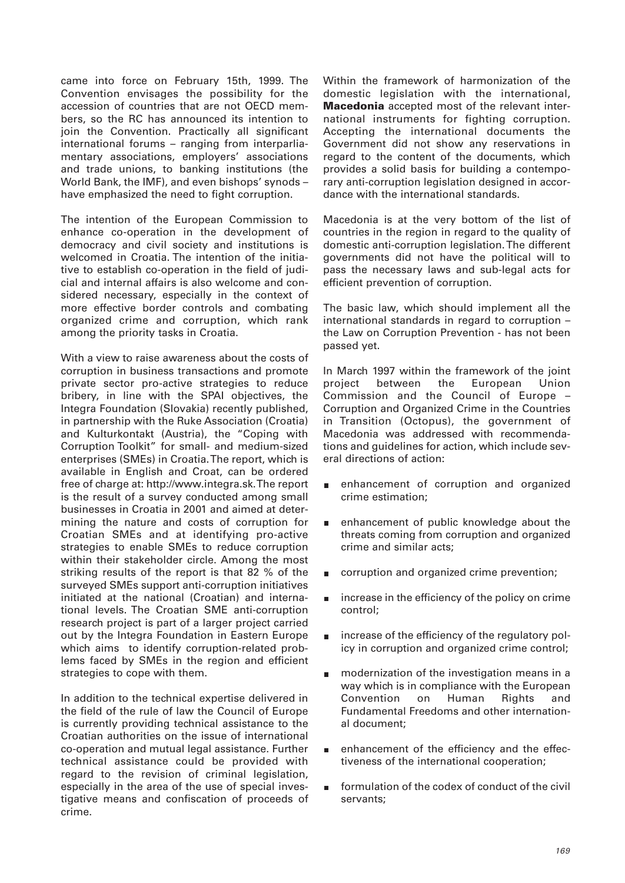came into force on February 15th, 1999. The Convention envisages the possibility for the accession of countries that are not OECD members, so the RC has announced its intention to join the Convention. Practically all significant international forums – ranging from interparliamentary associations, employers' associations and trade unions, to banking institutions (the World Bank, the IMF), and even bishops' synods – have emphasized the need to fight corruption.

The intention of the European Commission to enhance co-operation in the development of democracy and civil society and institutions is welcomed in Croatia. The intention of the initiative to establish co-operation in the field of judicial and internal affairs is also welcome and considered necessary, especially in the context of more effective border controls and combating organized crime and corruption, which rank among the priority tasks in Croatia.

With a view to raise awareness about the costs of corruption in business transactions and promote private sector pro-active strategies to reduce bribery, in line with the SPAI objectives, the Integra Foundation (Slovakia) recently published, in partnership with the Ruke Association (Croatia) and Kulturkontakt (Austria), the "Coping with Corruption Toolkit" for small- and medium-sized enterprises (SMEs) in Croatia. The report, which is available in English and Croat, can be ordered free of charge at: http://www.integra.sk. The report is the result of a survey conducted among small businesses in Croatia in 2001 and aimed at determining the nature and costs of corruption for Croatian SMEs and at identifying pro-active strategies to enable SMEs to reduce corruption within their stakeholder circle. Among the most striking results of the report is that 82 % of the surveyed SMEs support anti-corruption initiatives initiated at the national (Croatian) and international levels. The Croatian SME anti-corruption research project is part of a larger project carried out by the Integra Foundation in Eastern Europe which aims to identify corruption-related problems faced by SMEs in the region and efficient strategies to cope with them.

In addition to the technical expertise delivered in the field of the rule of law the Council of Europe is currently providing technical assistance to the Croatian authorities on the issue of international co-operation and mutual legal assistance. Further technical assistance could be provided with regard to the revision of criminal legislation, especially in the area of the use of special investigative means and confiscation of proceeds of crime.

Within the framework of harmonization of the domestic legislation with the international, **Macedonia** accepted most of the relevant international instruments for fighting corruption. Accepting the international documents the Government did not show any reservations in regard to the content of the documents, which provides a solid basis for building a contemporary anti-corruption legislation designed in accordance with the international standards.

Macedonia is at the very bottom of the list of countries in the region in regard to the quality of domestic anti-corruption legislation. The different governments did not have the political will to pass the necessary laws and sub-legal acts for efficient prevention of corruption.

The basic law, which should implement all the international standards in regard to corruption – the Law on Corruption Prevention - has not been passed yet.

In March 1997 within the framework of the joint project between the European Union Commission and the Council of Europe – Corruption and Organized Crime in the Countries in Transition (Octopus), the government of Macedonia was addressed with recommendations and guidelines for action, which include several directions of action:

- enhancement of corruption and organized  $\blacksquare$ crime estimation;
- enhancement of public knowledge about the  $\blacksquare$ threats coming from corruption and organized crime and similar acts;
- corruption and organized crime prevention;
- increase in the efficiency of the policy on crime control;
- increase of the efficiency of the regulatory policy in corruption and organized crime control;
- modernization of the investigation means in a way which is in compliance with the European Convention on Human Rights and Fundamental Freedoms and other international document;
- enhancement of the efficiency and the effec- $\blacksquare$ tiveness of the international cooperation;
- formulation of the codex of conduct of the civil servants;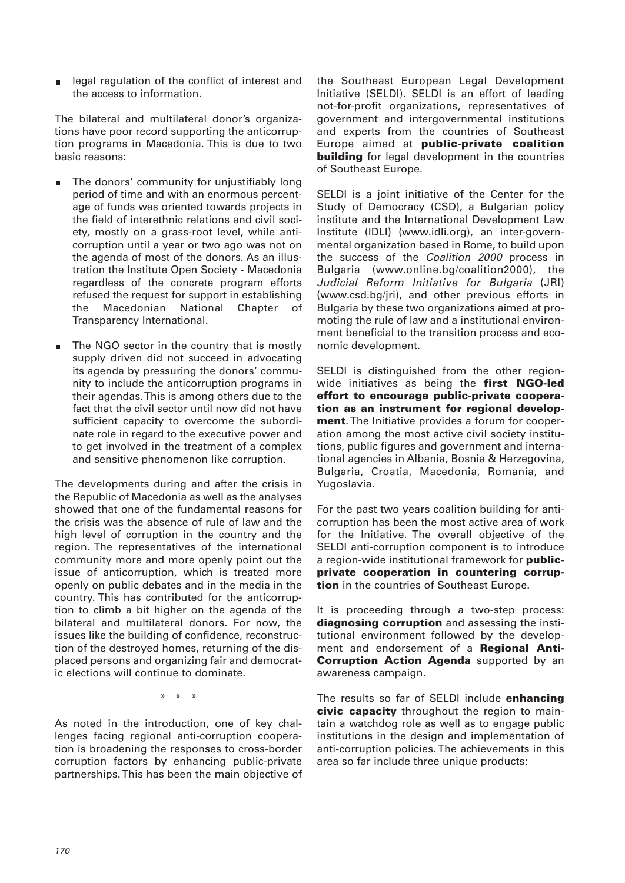legal regulation of the conflict of interest and the access to information.

The bilateral and multilateral donor's organizations have poor record supporting the anticorruption programs in Macedonia. This is due to two basic reasons:

- The donors' community for unjustifiably long period of time and with an enormous percentage of funds was oriented towards projects in the field of interethnic relations and civil society, mostly on a grass-root level, while anticorruption until a year or two ago was not on the agenda of most of the donors. As an illustration the Institute Open Society - Macedonia regardless of the concrete program efforts refused the request for support in establishing the Macedonian National Chapter of Transparency International.
- The NGO sector in the country that is mostly  $\blacksquare$ supply driven did not succeed in advocating its agenda by pressuring the donors' community to include the anticorruption programs in their agendas. This is among others due to the fact that the civil sector until now did not have sufficient capacity to overcome the subordinate role in regard to the executive power and to get involved in the treatment of a complex and sensitive phenomenon like corruption.

The developments during and after the crisis in the Republic of Macedonia as well as the analyses showed that one of the fundamental reasons for the crisis was the absence of rule of law and the high level of corruption in the country and the region. The representatives of the international community more and more openly point out the issue of anticorruption, which is treated more openly on public debates and in the media in the country. This has contributed for the anticorruption to climb a bit higher on the agenda of the bilateral and multilateral donors. For now, the issues like the building of confidence, reconstruction of the destroyed homes, returning of the displaced persons and organizing fair and democratic elections will continue to dominate.

 $\mathbf{r}$ 

As noted in the introduction, one of key challenges facing regional anti-corruption cooperation is broadening the responses to cross-border corruption factors by enhancing public-private partnerships. This has been the main objective of

the Southeast European Legal Development Initiative (SELDI). SELDI is an effort of leading not-for-profit organizations, representatives of government and intergovernmental institutions and experts from the countries of Southeast Europe aimed at **public-private coalition building** for legal development in the countries of Southeast Europe.

SELDI is a joint initiative of the Center for the Study of Democracy (CSD), a Bulgarian policy institute and the International Development Law Institute (IDLI) (www.idli.org), an inter-governmental organization based in Rome, to build upon the success of the Coalition 2000 process in Bulgaria (www.online.bg/coalition2000), the Judicial Reform Initiative for Bulgaria (JRI) (www.csd.bg/jri), and other previous efforts in Bulgaria by these two organizations aimed at promoting the rule of law and a institutional environment beneficial to the transition process and economic development.

SELDI is distinguished from the other regionwide initiatives as being the **first NGO-led effort to encourage public-private cooperation as an instrument for regional development**. The Initiative provides a forum for cooperation among the most active civil society institutions, public figures and government and international agencies in Albania, Bosnia & Herzegovina, Bulgaria, Croatia, Macedonia, Romania, and Yugoslavia.

For the past two years coalition building for anticorruption has been the most active area of work for the Initiative. The overall objective of the SELDI anti-corruption component is to introduce a region-wide institutional framework for **publicprivate cooperation in countering corruption** in the countries of Southeast Europe.

It is proceeding through a two-step process: **diagnosing corruption** and assessing the institutional environment followed by the development and endorsement of a **Regional Anti-Corruption Action Agenda** supported by an awareness campaign.

The results so far of SELDI include **enhancing civic capacity** throughout the region to maintain a watchdog role as well as to engage public institutions in the design and implementation of anti-corruption policies. The achievements in this area so far include three unique products: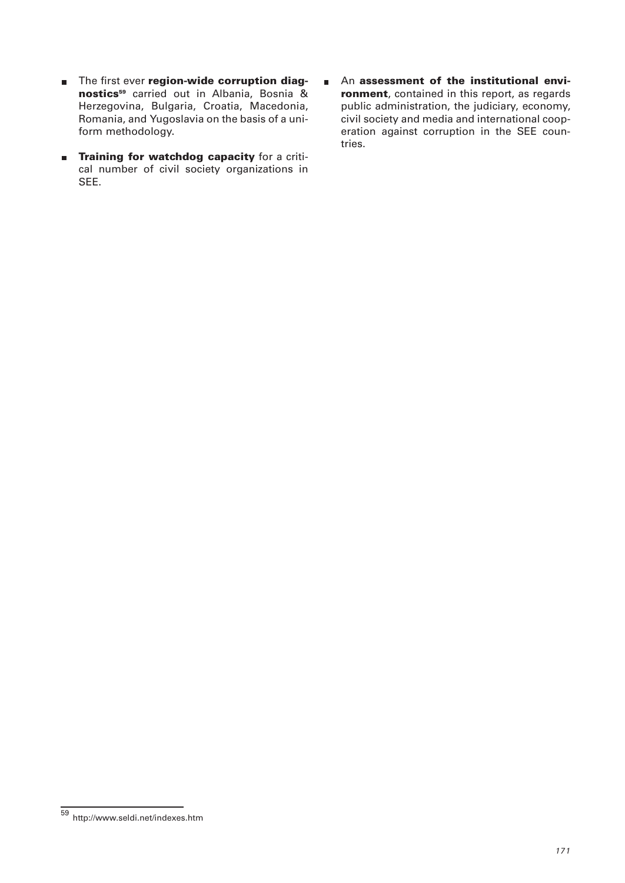- **EXECUTE:** The first ever **region-wide corruption diagnostics59** carried out in Albania, Bosnia & Herzegovina, Bulgaria, Croatia, Macedonia, Romania, and Yugoslavia on the basis of a uniform methodology.
- **Training for watchdog capacity** for a critical number of civil society organizations in SEE.
- An **assessment of the institutional envi-** $\blacksquare$ **ronment**, contained in this report, as regards public administration, the judiciary, economy, civil society and media and international cooperation against corruption in the SEE countries.

<sup>59</sup> http://www.seldi.net/indexes.htm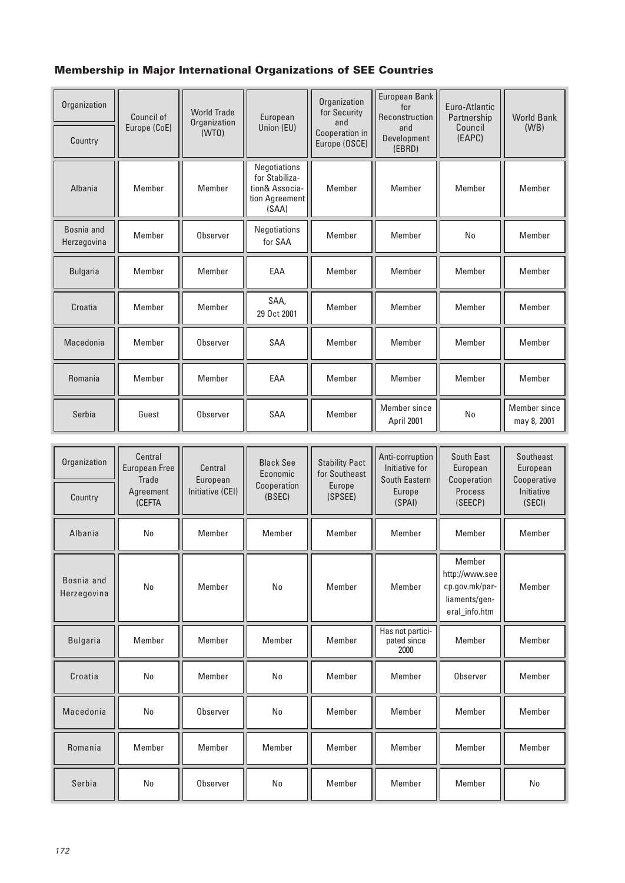## **Membership in Major International Organizations of SEE Countries**

| Organization              | Council of   | <b>World Trade</b><br>Organization<br>(WTO) | European<br>Union (EU)                                                      | Organization<br>for Security<br>and | European Bank<br>for<br>Reconstruction | Euro-Atlantic<br>Partnership<br>Council<br>(EAPC) | <b>World Bank</b><br>(WB)   |
|---------------------------|--------------|---------------------------------------------|-----------------------------------------------------------------------------|-------------------------------------|----------------------------------------|---------------------------------------------------|-----------------------------|
| Country                   | Europe (CoE) |                                             |                                                                             | Cooperation in<br>Europe (OSCE)     | and<br>Development<br>(EBRD)           |                                                   |                             |
| Albania                   | Member       | Member                                      | Negotiations<br>for Stabiliza-<br>tion& Associa-<br>tion Agreement<br>(SAA) | Member                              | Member                                 | Member                                            | Member                      |
| Bosnia and<br>Herzegovina | Member       | Observer                                    | Negotiations<br>for SAA                                                     | Member                              | Member                                 | No                                                | Member                      |
| <b>Bulgaria</b>           | Member       | Member                                      | EAA                                                                         | Member                              | Member                                 | Member                                            | Member                      |
| Croatia                   | Member       | Member                                      | SAA,<br>29 Oct 2001                                                         | Member                              | Member                                 | Member                                            | Member                      |
| Macedonia                 | Member       | Observer                                    | <b>SAA</b>                                                                  | Member                              | Member                                 | Member                                            | Member                      |
| Romania                   | Member       | Member                                      | FAA                                                                         | Member                              | Member                                 | Member                                            | Member                      |
| Serbia                    | Guest        | Observer                                    | <b>SAA</b>                                                                  | Member                              | Member since<br>April 2001             | N <sub>0</sub>                                    | Member since<br>may 8, 2001 |

| Organization              | Central<br><b>European Free</b><br>Trade | Central<br>European<br>Initiative (CEI) | <b>Black See</b><br>Economic<br>Cooperation<br>(BSEC) | <b>Stability Pact</b><br>for Southeast<br>Europe<br>(SPSEE) | Anti-corruption<br>Initiative for<br>South Eastern<br>Europe<br>(SPAI) | South East<br>European<br>Cooperation<br>Process<br>(SEECP)                  | Southeast<br>European<br>Cooperative |
|---------------------------|------------------------------------------|-----------------------------------------|-------------------------------------------------------|-------------------------------------------------------------|------------------------------------------------------------------------|------------------------------------------------------------------------------|--------------------------------------|
| Country                   | Agreement<br><b>(CEFTA</b>               |                                         |                                                       |                                                             |                                                                        |                                                                              | Initiative<br>(SECI)                 |
| Albania                   | No                                       | Member                                  | Member                                                | Member                                                      | Member                                                                 | Member                                                                       | Member                               |
| Bosnia and<br>Herzegovina | No                                       | Member                                  | <b>No</b>                                             | Member                                                      | Member                                                                 | Member<br>http://www.see<br>cp.gov.mk/par-<br>liaments/gen-<br>eral info.htm | Member                               |
| <b>Bulgaria</b>           | Member                                   | Member                                  | Member                                                | Member                                                      | Has not partici-<br>pated since<br>2000                                | Member                                                                       | Member                               |
| Croatia                   | No                                       | Member                                  | No                                                    | Member                                                      | Member                                                                 | Observer                                                                     | Member                               |
| Macedonia                 | No                                       | Observer                                | No                                                    | Member                                                      | Member                                                                 | Member                                                                       | Member                               |
| Romania                   | Member                                   | Member                                  | Member                                                | Member                                                      | Member                                                                 | Member                                                                       | Member                               |
| Serbia                    | No                                       | Observer                                | N <sub>0</sub>                                        | Member                                                      | Member                                                                 | Member                                                                       | No                                   |